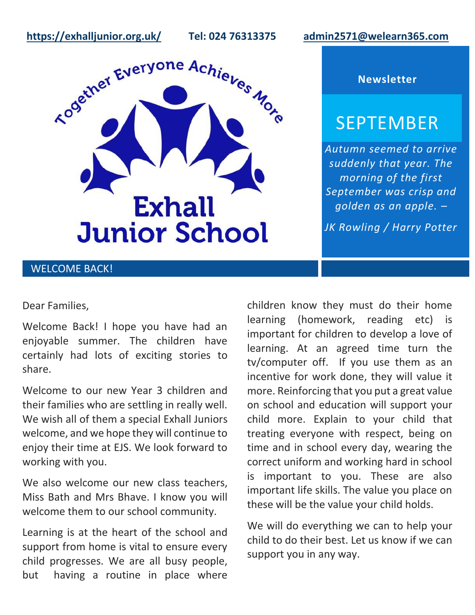**<https://exhalljunior.org.uk/>Tel: 024 76313375 [admin2571@welearn365.com](mailto:admin2571@welearn365.com)**



## **Newsletter**

# SEPTEMBER

*Autumn seemed to arrive suddenly that year. The morning of the first September was crisp and golden as an apple. –*

*JK Rowling / Harry Potter*

# WELCOME BACK!

## Dear Families,

Welcome Back! I hope you have had an enjoyable summer. The children have certainly had lots of exciting stories to share.

Welcome to our new Year 3 children and their families who are settling in really well. We wish all of them a special Exhall Juniors welcome, and we hope they will continue to enjoy their time at EJS. We look forward to working with you.

We also welcome our new class teachers, Miss Bath and Mrs Bhave. I know you will welcome them to our school community.

Learning is at the heart of the school and support from home is vital to ensure every child progresses. We are all busy people, but having a routine in place where

children know they must do their home learning (homework, reading etc) is important for children to develop a love of learning. At an agreed time turn the tv/computer off. If you use them as an incentive for work done, they will value it more. Reinforcing that you put a great value on school and education will support your child more. Explain to your child that treating everyone with respect, being on time and in school every day, wearing the correct uniform and working hard in school is important to you. These are also important life skills. The value you place on these will be the value your child holds.

We will do everything we can to help your child to do their best. Let us know if we can support you in any way.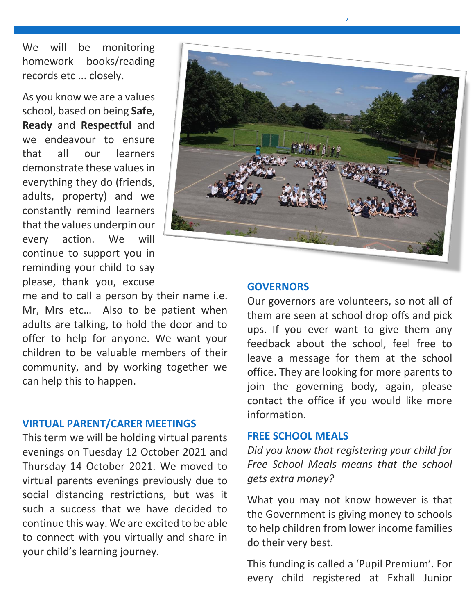We will be monitoring homework books/reading records etc ... closely.

As you know we are a values school, based on being **Safe**, **Ready** and **Respectful** and we endeavour to ensure that all our learners demonstrate these values in everything they do (friends, adults, property) and we constantly remind learners that the values underpin our every action. We will continue to support you in reminding your child to say please, thank you, excuse



2

me and to call a person by their name i.e. Mr, Mrs etc… Also to be patient when adults are talking, to hold the door and to offer to help for anyone. We want your children to be valuable members of their community, and by working together we can help this to happen.

# **VIRTUAL PARENT/CARER MEETINGS**

This term we will be holding virtual parents evenings on Tuesday 12 October 2021 and Thursday 14 October 2021. We moved to virtual parents evenings previously due to social distancing restrictions, but was it such a success that we have decided to continue this way. We are excited to be able to connect with you virtually and share in your child's learning journey.

#### **GOVERNORS**

Our governors are volunteers, so not all of them are seen at school drop offs and pick ups. If you ever want to give them any feedback about the school, feel free to leave a message for them at the school office. They are looking for more parents to join the governing body, again, please contact the office if you would like more information.

## **FREE SCHOOL MEALS**

*Did you know that registering your child for Free School Meals means that the school gets extra money?*

What you may not know however is that the Government is giving money to schools to help children from lower income families do their very best.

This funding is called a 'Pupil Premium'. For every child registered at Exhall Junior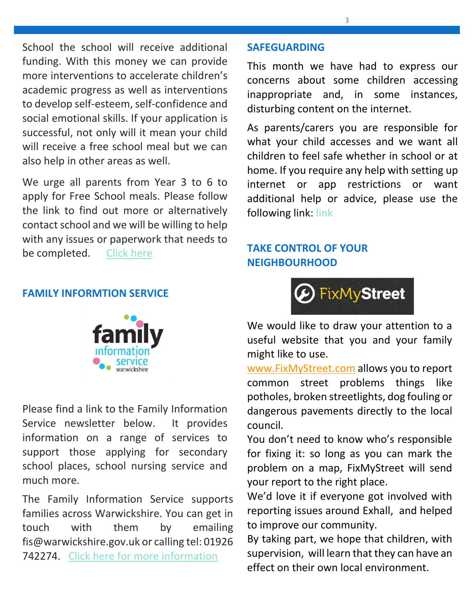School the school will receive additional funding. With this money we can provide more interventions to accelerate children's academic progress as well as interventions to develop self-esteem, self-confidence and social emotional skills. If your application is successful, not only will it mean your child will receive a free school meal but we can also help in other areas as well.

We urge all parents from Year 3 to 6 to apply for Free School meals. Please follow the link to find out more or alternatively contact school and we will be willing to help with any issues or paperwork that needs to be completed. [Click here](https://www.warwickshire.gov.uk/education-learning/apply-free-school-meals)

## **FAMILY INFORMTION SERVICE**



Please find a link to the Family Information Service newsletter below. It provides information on a range of services to support those applying for secondary school places, school nursing service and much more.

The Family Information Service supports families across Warwickshire. You can get in touch with them by emailing fis@warwickshire.gov.uk or calling tel: 01926 742274. [Click here for more information](https://us5.campaign-archive.com/?u=a24b439ef7022ae0d86f9ca6e&id=f5d1fd1329)

## **SAFEGUARDING**

This month we have had to express our concerns about some children accessing inappropriate and, in some instances, disturbing content on the internet.

As parents/carers you are responsible for what your child accesses and we want all children to feel safe whether in school or at home. If you require any help with setting up internet or app restrictions or want additional help or advice, please use the following [link](https://www.internetmatters.org/): link

# **TAKE CONTROL OF YOUR NEIGHBOURHOOD**



We would like to draw your attention to a useful website that you and your family might like to use.

[www.FixMyStreet.com](http://www.fixmystreet.com/) allows you to report common street problems things like potholes, broken streetlights, dog fouling or dangerous pavements directly to the local council.

You don't need to know who's responsible for fixing it: so long as you can mark the problem on a map, FixMyStreet will send your report to the right place.

We'd love it if everyone got involved with reporting issues around Exhall, and helped to improve our community.

By taking part, we hope that children, with supervision, will learn that they can have an effect on their own local environment.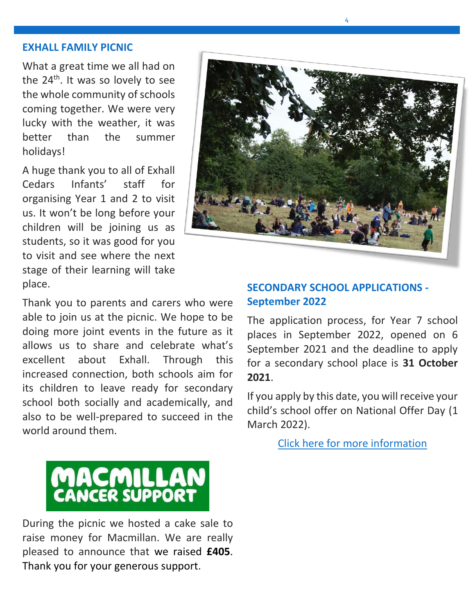#### **EXHALL FAMILY PICNIC**

What a great time we all had on the 24<sup>th</sup>. It was so lovely to see the whole community of schools coming together. We were very lucky with the weather, it was better than the summer holidays!

A huge thank you to all of Exhall Cedars Infants' staff for organising Year 1 and 2 to visit us. It won't be long before your children will be joining us as students, so it was good for you to visit and see where the next stage of their learning will take place.



Thank you to parents and carers who were able to join us at the picnic. We hope to be doing more joint events in the future as it allows us to share and celebrate what's excellent about Exhall. Through this increased connection, both schools aim for its children to leave ready for secondary school both socially and academically, and also to be well-prepared to succeed in the world around them.

# **SECONDARY SCHOOL APPLICATIONS - September 2022**

The application process, for Year 7 school places in September 2022, opened on 6 September 2021 and the deadline to apply for a secondary school place is **31 October 2021**.

If you apply by this date, you will receive your child's school offer on National Offer Day (1 March 2022).

[Click here for more information](https://www.warwickshire.gov.uk/applying-secondary-school-place/apply-secondary-school-place/1)



During the picnic we hosted a cake sale to raise money for Macmillan. We are really pleased to announce that we raised **£405**. Thank you for your generous support.